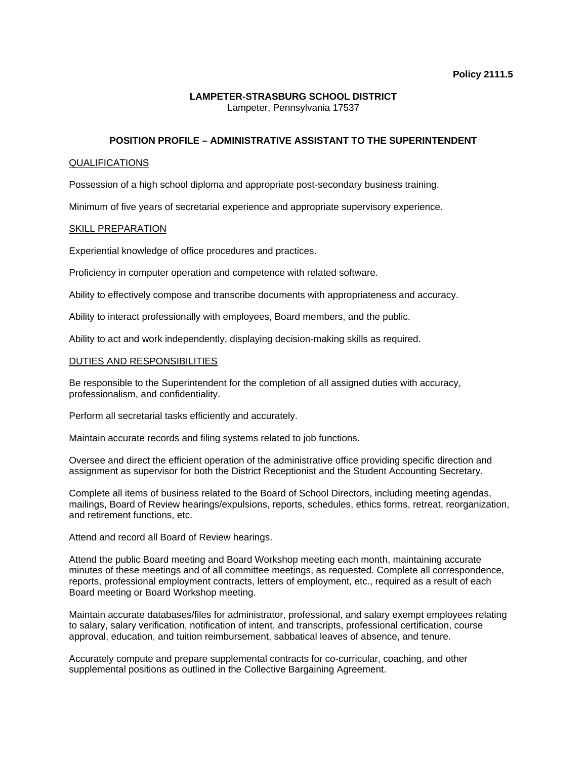## **LAMPETER-STRASBURG SCHOOL DISTRICT**  Lampeter, Pennsylvania 17537

# **POSITION PROFILE – ADMINISTRATIVE ASSISTANT TO THE SUPERINTENDENT**

### QUALIFICATIONS

Possession of a high school diploma and appropriate post-secondary business training.

Minimum of five years of secretarial experience and appropriate supervisory experience.

### SKILL PREPARATION

Experiential knowledge of office procedures and practices.

Proficiency in computer operation and competence with related software.

Ability to effectively compose and transcribe documents with appropriateness and accuracy.

Ability to interact professionally with employees, Board members, and the public.

Ability to act and work independently, displaying decision-making skills as required.

### DUTIES AND RESPONSIBILITIES

Be responsible to the Superintendent for the completion of all assigned duties with accuracy, professionalism, and confidentiality.

Perform all secretarial tasks efficiently and accurately.

Maintain accurate records and filing systems related to job functions.

Oversee and direct the efficient operation of the administrative office providing specific direction and assignment as supervisor for both the District Receptionist and the Student Accounting Secretary.

Complete all items of business related to the Board of School Directors, including meeting agendas, mailings, Board of Review hearings/expulsions, reports, schedules, ethics forms, retreat, reorganization, and retirement functions, etc.

Attend and record all Board of Review hearings.

Attend the public Board meeting and Board Workshop meeting each month, maintaining accurate minutes of these meetings and of all committee meetings, as requested. Complete all correspondence, reports, professional employment contracts, letters of employment, etc., required as a result of each Board meeting or Board Workshop meeting.

Maintain accurate databases/files for administrator, professional, and salary exempt employees relating to salary, salary verification, notification of intent, and transcripts, professional certification, course approval, education, and tuition reimbursement, sabbatical leaves of absence, and tenure.

Accurately compute and prepare supplemental contracts for co-curricular, coaching, and other supplemental positions as outlined in the Collective Bargaining Agreement.